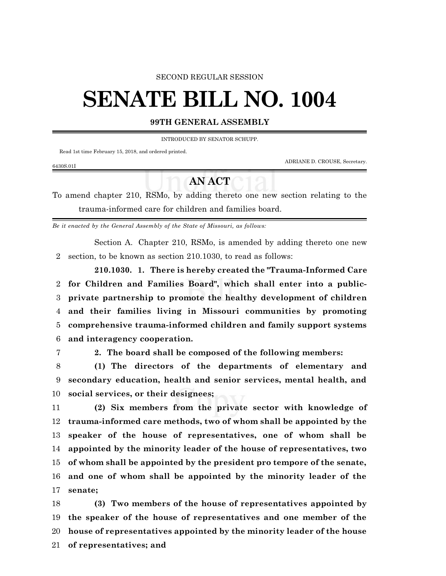#### SECOND REGULAR SESSION

# **SENATE BILL NO. 1004**

### **99TH GENERAL ASSEMBLY**

INTRODUCED BY SENATOR SCHUPP.

Read 1st time February 15, 2018, and ordered printed.

ADRIANE D. CROUSE, Secretary.

## 6430S.01I

## **AN ACT**

To amend chapter 210, RSMo, by adding thereto one new section relating to the trauma-informed care for children and families board.

*Be it enacted by the General Assembly of the State of Missouri, as follows:*

Section A. Chapter 210, RSMo, is amended by adding thereto one new section, to be known as section 210.1030, to read as follows:

**210.1030. 1. There is hereby created the "Trauma-Informed Care for Children and Families Board", which shall enter into a public- private partnership to promote the healthy development of children and their families living in Missouri communities by promoting comprehensive trauma-informed children and family support systems and interagency cooperation.**

**2. The board shall be composed of the following members:**

 **(1) The directors of the departments of elementary and secondary education, health and senior services, mental health, and social services, or their designees;**

 **(2) Six members from the private sector with knowledge of trauma-informed care methods, two of whom shall be appointed by the speaker of the house of representatives, one of whom shall be appointed by the minority leader of the house of representatives, two of whom shall be appointed by the president pro tempore of the senate, and one of whom shall be appointed by the minority leader of the senate;**

 **(3) Two members of the house of representatives appointed by the speaker of the house of representatives and one member of the house of representatives appointed by the minority leader of the house of representatives; and**